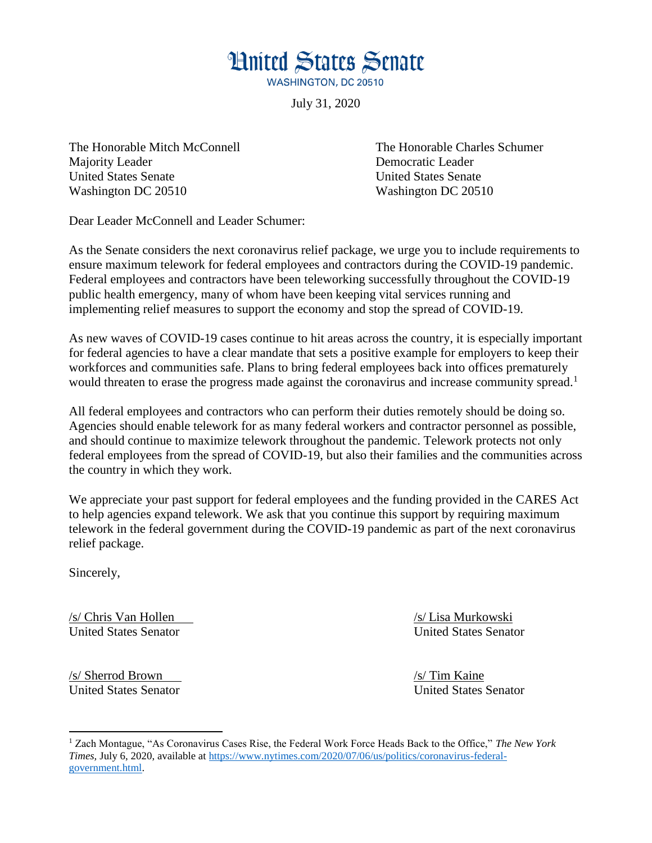**Hnited States Senate WASHINGTON, DC 20510** 

July 31, 2020

Majority Leader **Democratic Leader Democratic Leader** United States Senate United States Senate Washington DC 20510 Washington DC 20510

The Honorable Mitch McConnell The Honorable Charles Schumer

Dear Leader McConnell and Leader Schumer:

As the Senate considers the next coronavirus relief package, we urge you to include requirements to ensure maximum telework for federal employees and contractors during the COVID-19 pandemic. Federal employees and contractors have been teleworking successfully throughout the COVID-19 public health emergency, many of whom have been keeping vital services running and implementing relief measures to support the economy and stop the spread of COVID-19.

As new waves of COVID-19 cases continue to hit areas across the country, it is especially important for federal agencies to have a clear mandate that sets a positive example for employers to keep their workforces and communities safe. Plans to bring federal employees back into offices prematurely would threaten to erase the progress made against the coronavirus and increase community spread.<sup>1</sup>

All federal employees and contractors who can perform their duties remotely should be doing so. Agencies should enable telework for as many federal workers and contractor personnel as possible, and should continue to maximize telework throughout the pandemic. Telework protects not only federal employees from the spread of COVID-19, but also their families and the communities across the country in which they work.

We appreciate your past support for federal employees and the funding provided in the CARES Act to help agencies expand telework. We ask that you continue this support by requiring maximum telework in the federal government during the COVID-19 pandemic as part of the next coronavirus relief package.

Sincerely,

 $\overline{a}$ 

/s/ Chris Van Hollen /s/ Lisa Murkowski United States Senator United States Senator

/s/ Sherrod Brown /s/ Tim Kaine United States Senator United States Senator

<sup>1</sup> Zach Montague, "As Coronavirus Cases Rise, the Federal Work Force Heads Back to the Office," *The New York Times,* July 6, 2020, available at [https://www.nytimes.com/2020/07/06/us/politics/coronavirus-federal](https://www.nytimes.com/2020/07/06/us/politics/coronavirus-federal-government.html)[government.html.](https://www.nytimes.com/2020/07/06/us/politics/coronavirus-federal-government.html)